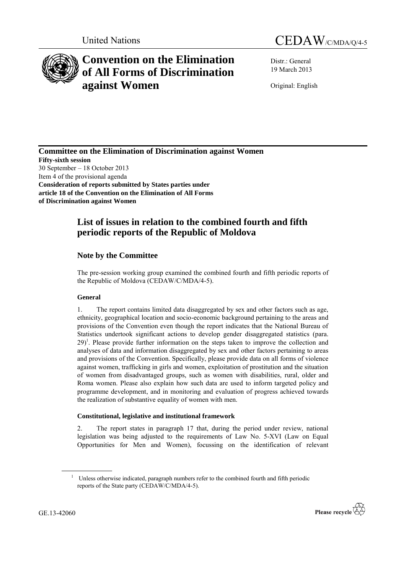



# **Convention on the Elimination of All Forms of Discrimination against Women**

Distr.: General 19 March 2013

Original: English

**Committee on the Elimination of Discrimination against Women Fifty-sixth session** 30 September – 18 October 2013 Item 4 of the provisional agenda **Consideration of reports submitted by States parties under article 18 of the Convention on the Elimination of All Forms of Discrimination against Women**

# **List of issues in relation to the combined fourth and fifth periodic reports of the Republic of Moldova**

## **Note by the Committee**

The pre-session working group examined the combined fourth and fifth periodic reports of the Republic of Moldova (CEDAW/C/MDA/4-5).

### **General**

1. The report contains limited data disaggregated by sex and other factors such as age, ethnicity, geographical location and socio-economic background pertaining to the areas and provisions of the Convention even though the report indicates that the National Bureau of Statistics undertook significant actions to develop gender disaggregated statistics (para.  $29$ <sup>1</sup>. Please provide further information on the steps taken to improve the collection and analyses of data and information disaggregated by sex and other factors pertaining to areas and provisions of the Convention. Specifically, please provide data on all forms of violence against women, trafficking in girls and women, exploitation of prostitution and the situation of women from disadvantaged groups, such as women with disabilities, rural, older and Roma women. Please also explain how such data are used to inform targeted policy and programme development, and in monitoring and evaluation of progress achieved towards the realization of substantive equality of women with men.

### **Constitutional, legislative and institutional framework**

2. The report states in paragraph 17 that, during the period under review, national legislation was being adjusted to the requirements of Law No. 5-XVI (Law on Equal Opportunities for Men and Women), focussing on the identification of relevant

<sup>&</sup>lt;sup>1</sup> Unless otherwise indicated, paragraph numbers refer to the combined fourth and fifth periodic reports of the State party (CEDAW/C/MDA/4-5).

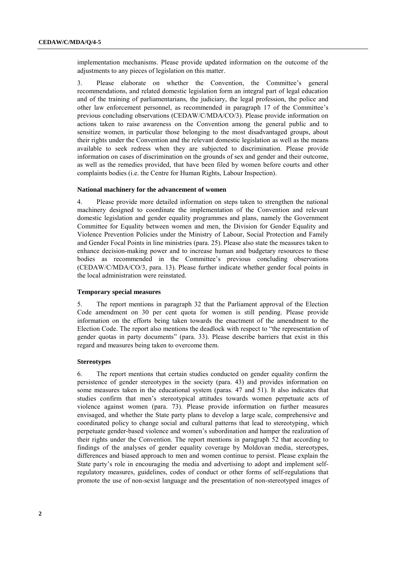implementation mechanisms. Please provide updated information on the outcome of the adjustments to any pieces of legislation on this matter.

3. Please elaborate on whether the Convention, the Committee's general recommendations, and related domestic legislation form an integral part of legal education and of the training of parliamentarians, the judiciary, the legal profession, the police and other law enforcement personnel, as recommended in paragraph 17 of the Committee's previous concluding observations (CEDAW/C/MDA/CO/3). Please provide information on actions taken to raise awareness on the Convention among the general public and to sensitize women, in particular those belonging to the most disadvantaged groups, about their rights under the Convention and the relevant domestic legislation as well as the means available to seek redress when they are subjected to discrimination. Please provide information on cases of discrimination on the grounds of sex and gender and their outcome, as well as the remedies provided, that have been filed by women before courts and other complaints bodies (i.e. the Centre for Human Rights, Labour Inspection).

#### **National machinery for the advancement of women**

4. Please provide more detailed information on steps taken to strengthen the national machinery designed to coordinate the implementation of the Convention and relevant domestic legislation and gender equality programmes and plans, namely the Government Committee for Equality between women and men, the Division for Gender Equality and Violence Prevention Policies under the Ministry of Labour, Social Protection and Family and Gender Focal Points in line ministries (para. 25). Please also state the measures taken to enhance decision-making power and to increase human and budgetary resources to these bodies as recommended in the Committee's previous concluding observations (CEDAW/C/MDA/CO/3, para. 13). Please further indicate whether gender focal points in the local administration were reinstated.

#### **Temporary special measures**

5. The report mentions in paragraph 32 that the Parliament approval of the Election Code amendment on 30 per cent quota for women is still pending. Please provide information on the efforts being taken towards the enactment of the amendment to the Election Code. The report also mentions the deadlock with respect to "the representation of gender quotas in party documents" (para. 33). Please describe barriers that exist in this regard and measures being taken to overcome them.

#### **Stereotypes**

6. The report mentions that certain studies conducted on gender equality confirm the persistence of gender stereotypes in the society (para. 43) and provides information on some measures taken in the educational system (paras. 47 and 51). It also indicates that studies confirm that men's stereotypical attitudes towards women perpetuate acts of violence against women (para. 73). Please provide information on further measures envisaged, and whether the State party plans to develop a large scale, comprehensive and coordinated policy to change social and cultural patterns that lead to stereotyping, which perpetuate gender-based violence and women's subordination and hamper the realization of their rights under the Convention. The report mentions in paragraph 52 that according to findings of the analyses of gender equality coverage by Moldovan media, stereotypes, differences and biased approach to men and women continue to persist. Please explain the State party's role in encouraging the media and advertising to adopt and implement selfregulatory measures, guidelines, codes of conduct or other forms of self-regulations that promote the use of non-sexist language and the presentation of non-stereotyped images of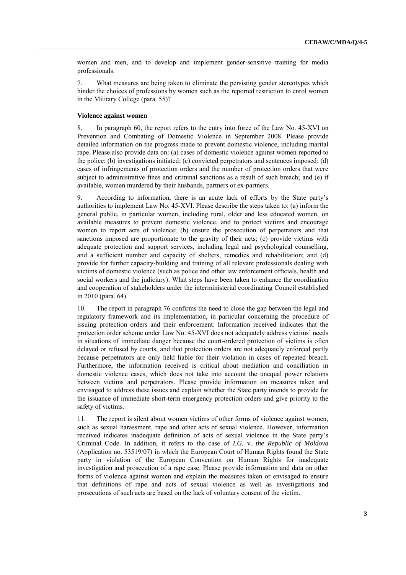women and men, and to develop and implement gender-sensitive training for media professionals.

7. What measures are being taken to eliminate the persisting gender stereotypes which hinder the choices of professions by women such as the reported restriction to enrol women in the Military College (para. 55)?

#### **Violence against women**

8. In paragraph 60, the report refers to the entry into force of the Law No. 45-XVI on Prevention and Combating of Domestic Violence in September 2008. Please provide detailed information on the progress made to prevent domestic violence, including marital rape. Please also provide data on: (a) cases of domestic violence against women reported to the police; (b) investigations initiated; (c) convicted perpetrators and sentences imposed; (d) cases of infringements of protection orders and the number of protection orders that were subject to administrative fines and criminal sanctions as a result of such breach; and (e) if available, women murdered by their husbands, partners or ex-partners.

9. According to information, there is an acute lack of efforts by the State party's authorities to implement Law No. 45-XVI. Please describe the steps taken to: (a) inform the general public, in particular women, including rural, older and less educated women, on available measures to prevent domestic violence, and to protect victims and encourage women to report acts of violence; (b) ensure the prosecution of perpetrators and that sanctions imposed are proportionate to the gravity of their acts; (c) provide victims with adequate protection and support services, including legal and psychological counselling, and a sufficient number and capacity of shelters, remedies and rehabilitation; and (d) provide for further capacity-building and training of all relevant professionals dealing with victims of domestic violence (such as police and other law enforcement officials, health and social workers and the judiciary). What steps have been taken to enhance the coordination and cooperation of stakeholders under the interministerial coordinating Council established in 2010 (para. 64).

10. The report in paragraph 76 confirms the need to close the gap between the legal and regulatory framework and its implementation, in particular concerning the procedure of issuing protection orders and their enforcement. Information received indicates that the protection order scheme under Law No. 45-XVI does not adequately address victims' needs in situations of immediate danger because the court-ordered protection of victims is often delayed or refused by courts, and that protection orders are not adequately enforced partly because perpetrators are only held liable for their violation in cases of repeated breach. Furthermore, the information received is critical about mediation and conciliation in domestic violence cases, which does not take into account the unequal power relations between victims and perpetrators. Please provide information on measures taken and envisaged to address these issues and explain whether the State party intends to provide for the issuance of immediate short-term emergency protection orders and give priority to the safety of victims.

11. The report is silent about women victims of other forms of violence against women, such as sexual harassment, rape and other acts of sexual violence. However, information received indicates inadequate definition of acts of sexual violence in the State party's Criminal Code. In addition, it refers to the case of *I.G.* v. *the Republic of Moldova*  (Application no. 53519/07) in which the European Court of Human Rights found the State party in violation of the European Convention on Human Rights for inadequate investigation and prosecution of a rape case. Please provide information and data on other forms of violence against women and explain the measures taken or envisaged to ensure that definitions of rape and acts of sexual violence as well as investigations and prosecutions of such acts are based on the lack of voluntary consent of the victim.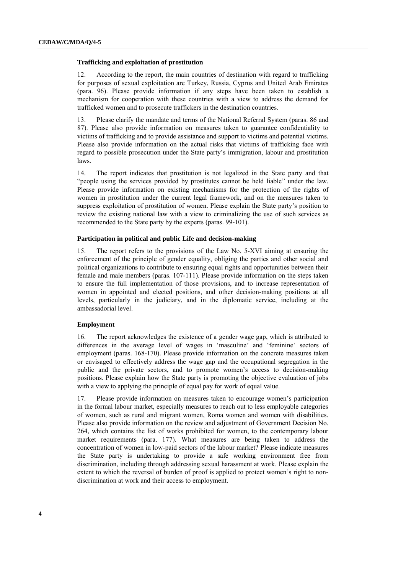#### **Trafficking and exploitation of prostitution**

12. According to the report, the main countries of destination with regard to trafficking for purposes of sexual exploitation are Turkey, Russia, Cyprus and United Arab Emirates (para. 96). Please provide information if any steps have been taken to establish a mechanism for cooperation with these countries with a view to address the demand for trafficked women and to prosecute traffickers in the destination countries.

13. Please clarify the mandate and terms of the National Referral System (paras. 86 and 87). Please also provide information on measures taken to guarantee confidentiality to victims of trafficking and to provide assistance and support to victims and potential victims. Please also provide information on the actual risks that victims of trafficking face with regard to possible prosecution under the State party's immigration, labour and prostitution laws.

14. The report indicates that prostitution is not legalized in the State party and that "people using the services provided by prostitutes cannot be held liable" under the law. Please provide information on existing mechanisms for the protection of the rights of women in prostitution under the current legal framework, and on the measures taken to suppress exploitation of prostitution of women. Please explain the State party's position to review the existing national law with a view to criminalizing the use of such services as recommended to the State party by the experts (paras. 99-101).

#### **Participation in political and public Life and decision-making**

15. The report refers to the provisions of the Law No. 5-XVI aiming at ensuring the enforcement of the principle of gender equality, obliging the parties and other social and political organizations to contribute to ensuring equal rights and opportunities between their female and male members (paras. 107-111). Please provide information on the steps taken to ensure the full implementation of those provisions, and to increase representation of women in appointed and elected positions, and other decision-making positions at all levels, particularly in the judiciary, and in the diplomatic service, including at the ambassadorial level.

#### **Employment**

16. The report acknowledges the existence of a gender wage gap, which is attributed to differences in the average level of wages in 'masculine' and 'feminine' sectors of employment (paras. 168-170). Please provide information on the concrete measures taken or envisaged to effectively address the wage gap and the occupational segregation in the public and the private sectors, and to promote women's access to decision-making positions. Please explain how the State party is promoting the objective evaluation of jobs with a view to applying the principle of equal pay for work of equal value.

17. Please provide information on measures taken to encourage women's participation in the formal labour market, especially measures to reach out to less employable categories of women, such as rural and migrant women, Roma women and women with disabilities. Please also provide information on the review and adjustment of Government Decision No. 264, which contains the list of works prohibited for women, to the contemporary labour market requirements (para. 177). What measures are being taken to address the concentration of women in low-paid sectors of the labour market? Please indicate measures the State party is undertaking to provide a safe working environment free from discrimination, including through addressing sexual harassment at work. Please explain the extent to which the reversal of burden of proof is applied to protect women's right to nondiscrimination at work and their access to employment.